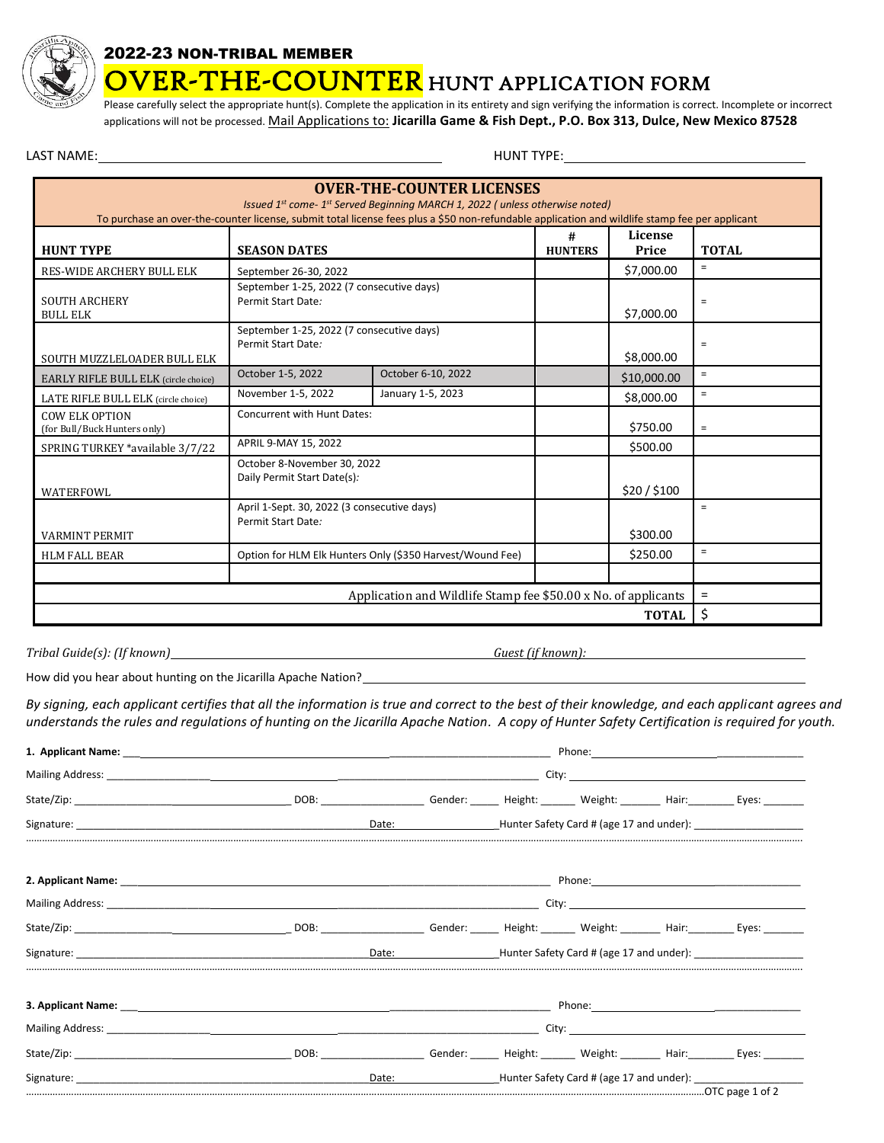

## 2022-23 NON-TRIBAL MEMBER

**VER-THE-COUNTER** HUNT APPLICATION FORM

Please carefully select the appropriate hunt(s). Complete the application in its entirety and sign verifying the information is correct. Incomplete or incorrect applications will not be processed. Mail Applications to: **Jicarilla Game & Fish Dept., P.O. Box 313, Dulce, New Mexico 87528**

LAST NAME: HUNT TYPE:

| <b>OVER-THE-COUNTER LICENSES</b><br>Issued 1st come-1st Served Beginning MARCH 1, 2022 (unless otherwise noted)<br>To purchase an over-the-counter license, submit total license fees plus a \$50 non-refundable application and wildlife stamp fee per applicant |                                                                               |                     |                  |              |                   |  |  |  |
|-------------------------------------------------------------------------------------------------------------------------------------------------------------------------------------------------------------------------------------------------------------------|-------------------------------------------------------------------------------|---------------------|------------------|--------------|-------------------|--|--|--|
| <b>HUNT TYPE</b>                                                                                                                                                                                                                                                  | <b>SEASON DATES</b>                                                           | #<br><b>HUNTERS</b> | License<br>Price | <b>TOTAL</b> |                   |  |  |  |
| <b>RES-WIDE ARCHERY BULL ELK</b>                                                                                                                                                                                                                                  | September 26-30, 2022                                                         |                     | \$7,000.00       | $\equiv$     |                   |  |  |  |
| <b>SOUTH ARCHERY</b><br><b>BULL ELK</b>                                                                                                                                                                                                                           | September 1-25, 2022 (7 consecutive days)<br>Permit Start Date:               |                     | \$7,000.00       | $\equiv$     |                   |  |  |  |
| SOUTH MUZZLELOADER BULL ELK                                                                                                                                                                                                                                       | September 1-25, 2022 (7 consecutive days)<br>Permit Start Date:               |                     |                  | \$8,000.00   | $\equiv$          |  |  |  |
| <b>EARLY RIFLE BULL ELK</b> (circle choice)                                                                                                                                                                                                                       | October 1-5, 2022                                                             | October 6-10, 2022  |                  | \$10,000.00  | $\equiv$          |  |  |  |
| LATE RIFLE BULL ELK (circle choice)                                                                                                                                                                                                                               | November 1-5, 2022                                                            | January 1-5, 2023   |                  | \$8,000.00   | $=$               |  |  |  |
| <b>COW ELK OPTION</b><br>(for Bull/Buck Hunters only)                                                                                                                                                                                                             | Concurrent with Hunt Dates:<br>\$750.00                                       |                     |                  |              | $\equiv$          |  |  |  |
| SPRING TURKEY *available 3/7/22                                                                                                                                                                                                                                   | APRIL 9-MAY 15, 2022                                                          |                     | \$500.00         |              |                   |  |  |  |
| WATERFOWL                                                                                                                                                                                                                                                         | October 8-November 30, 2022<br>Daily Permit Start Date(s):<br>\$20/\$100      |                     |                  |              |                   |  |  |  |
| <b>VARMINT PERMIT</b>                                                                                                                                                                                                                                             | April 1-Sept. 30, 2022 (3 consecutive days)<br>Permit Start Date:<br>\$300.00 |                     |                  |              | $\equiv$          |  |  |  |
| <b>HLM FALL BEAR</b>                                                                                                                                                                                                                                              | Option for HLM Elk Hunters Only (\$350 Harvest/Wound Fee)                     |                     | \$250.00         | $\equiv$     |                   |  |  |  |
|                                                                                                                                                                                                                                                                   |                                                                               |                     |                  |              |                   |  |  |  |
| Application and Wildlife Stamp fee \$50.00 x No. of applicants                                                                                                                                                                                                    |                                                                               |                     |                  |              | $\qquad \qquad =$ |  |  |  |
| <b>TOTAL</b>                                                                                                                                                                                                                                                      |                                                                               |                     |                  |              | \$                |  |  |  |

*Tribal Guide(s): (If known) Guest (if known):*

How did you hear about hunting on the Jicarilla Apache Nation?<br>
The Mation Communication of the Communication of the Mation of the Mation of the Mation of the Mation of the M

*By signing, each applicant certifies that all the information is true and correct to the best of their knowledge, and each applicant agrees and understands the rules and regulations of hunting on the Jicarilla Apache Nation. A copy of Hunter Safety Certification is required for youth.*

|                                                                                                                                                                                                                                | 1. Applicant Name: the contract of the contract of the contract of the contract of the contract of the contract of the contract of the contract of the contract of the contract of the contract of the contract of the contrac |  |  |                                                              |                                                                                                         |
|--------------------------------------------------------------------------------------------------------------------------------------------------------------------------------------------------------------------------------|--------------------------------------------------------------------------------------------------------------------------------------------------------------------------------------------------------------------------------|--|--|--------------------------------------------------------------|---------------------------------------------------------------------------------------------------------|
|                                                                                                                                                                                                                                |                                                                                                                                                                                                                                |  |  |                                                              |                                                                                                         |
|                                                                                                                                                                                                                                |                                                                                                                                                                                                                                |  |  |                                                              | DOB: ____________________Gender: ______ Height: _______ Weight: ________ Hair: _________ Eyes: ________ |
|                                                                                                                                                                                                                                | Date:                                                                                                                                                                                                                          |  |  |                                                              | _______Hunter Safety Card # (age 17 and under): ________________________________                        |
|                                                                                                                                                                                                                                |                                                                                                                                                                                                                                |  |  |                                                              |                                                                                                         |
|                                                                                                                                                                                                                                |                                                                                                                                                                                                                                |  |  |                                                              |                                                                                                         |
| State/Zip: Eyes: Exercise Contract Contract Contract Contract Contract Contract Contract Contract Contract Contract Contract Contract Contract Contract Contract Contract Contract Contract Contract Contract Contract Contrac |                                                                                                                                                                                                                                |  |  |                                                              |                                                                                                         |
|                                                                                                                                                                                                                                | Date:                                                                                                                                                                                                                          |  |  |                                                              | Hunter Safety Card # (age 17 and under):                                                                |
|                                                                                                                                                                                                                                |                                                                                                                                                                                                                                |  |  |                                                              |                                                                                                         |
|                                                                                                                                                                                                                                |                                                                                                                                                                                                                                |  |  |                                                              |                                                                                                         |
|                                                                                                                                                                                                                                |                                                                                                                                                                                                                                |  |  |                                                              |                                                                                                         |
| Signature: The contract of the contract of the contract of the contract of the contract of the contract of the contract of the contract of the contract of the contract of the contract of the contract of the contract of the | Date:                                                                                                                                                                                                                          |  |  | <b>Example 2018</b> Hunter Safety Card # (age 17 and under): |                                                                                                         |
|                                                                                                                                                                                                                                |                                                                                                                                                                                                                                |  |  |                                                              |                                                                                                         |